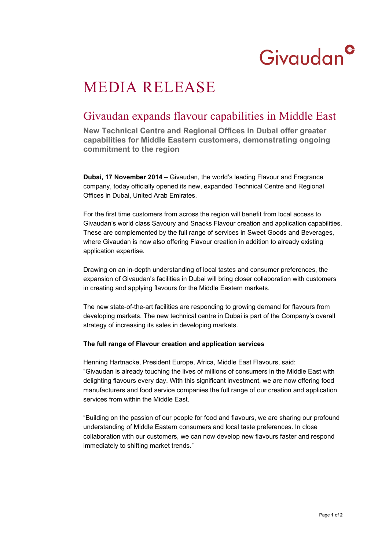# Givaudan<sup>c</sup>

## MEDIA RELEASE

### Givaudan expands flavour capabilities in Middle East

**New Technical Centre and Regional Offices in Dubai offer greater capabilities for Middle Eastern customers, demonstrating ongoing commitment to the region** 

**Dubai, 17 November 2014** – Givaudan, the world's leading Flavour and Fragrance company, today officially opened its new, expanded Technical Centre and Regional Offices in Dubai, United Arab Emirates.

For the first time customers from across the region will benefit from local access to Givaudan's world class Savoury and Snacks Flavour creation and application capabilities. These are complemented by the full range of services in Sweet Goods and Beverages, where Givaudan is now also offering Flavour creation in addition to already existing application expertise.

Drawing on an in-depth understanding of local tastes and consumer preferences, the expansion of Givaudan's facilities in Dubai will bring closer collaboration with customers in creating and applying flavours for the Middle Eastern markets.

The new state-of-the-art facilities are responding to growing demand for flavours from developing markets. The new technical centre in Dubai is part of the Company's overall strategy of increasing its sales in developing markets.

#### **The full range of Flavour creation and application services**

Henning Hartnacke, President Europe, Africa, Middle East Flavours, said: "Givaudan is already touching the lives of millions of consumers in the Middle East with delighting flavours every day. With this significant investment, we are now offering food manufacturers and food service companies the full range of our creation and application services from within the Middle East.

"Building on the passion of our people for food and flavours, we are sharing our profound understanding of Middle Eastern consumers and local taste preferences. In close collaboration with our customers, we can now develop new flavours faster and respond immediately to shifting market trends."